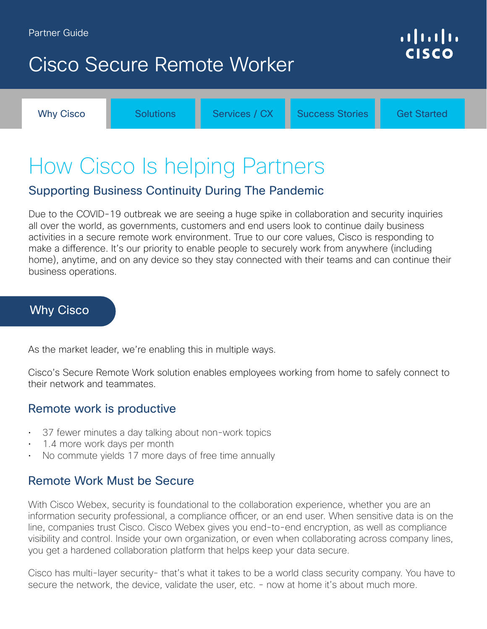## <span id="page-0-0"></span>Cisco Secure Remote Worker

Why Cisco **[Solutions](#page-1-0)** [Services / CX](#page-2-0) [Success Stories](#page-3-0) [Get Started](#page-3-0)

# How Cisco Is helping Partners

## Supporting Business Continuity During The Pandemic

Due to the COVID-19 outbreak we are seeing a huge spike in collaboration and security inquiries all over the world, as governments, customers and end users look to continue daily business activities in a secure remote work environment. True to our core values, Cisco is responding to make a difference. It's our priority to enable people to securely work from anywhere (including home), anytime, and on any device so they stay connected with their teams and can continue their business operations.

### Why Cisco

As the market leader, we're enabling this in multiple ways.

Cisco's Secure Remote Work solution enables employees working from home to safely connect to their network and teammates.

### Remote work is productive

- 37 fewer minutes a day talking about non-work topics
- 1.4 more work days per month
- No commute yields 17 more days of free time annually

### Remote Work Must be Secure

With Cisco Webex, security is foundational to the collaboration experience, whether you are an information security professional, a compliance officer, or an end user. When sensitive data is on the line, companies trust Cisco. Cisco Webex gives you end-to-end encryption, as well as compliance visibility and control. Inside your own organization, or even when collaborating across company lines, you get a hardened collaboration platform that helps keep your data secure.

Cisco has multi-layer security- that's what it takes to be a world class security company. You have to secure the network, the device, validate the user, etc. - now at home it's about much more.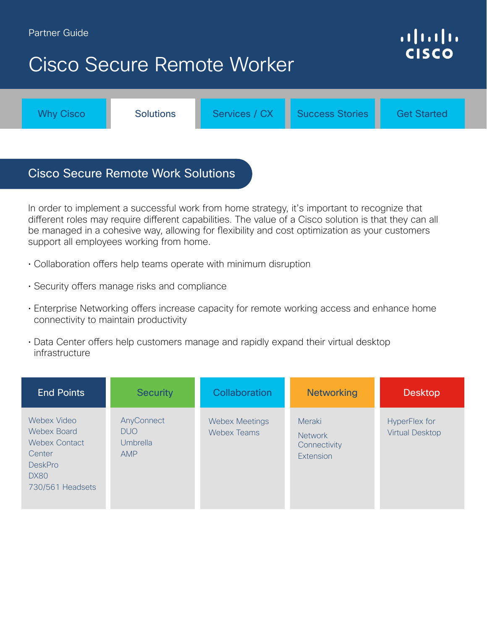#### <span id="page-1-0"></span>Partner Guide

## Cisco Secure Remote Worker

[Why Cisco](#page-0-0) **Solutions** [Services / CX](#page-2-0) [Success Stories](#page-3-0) [Get Started](#page-4-0)

## Cisco Secure Remote Work Solutions

In order to implement a successful work from home strategy, it's important to recognize that different roles may require different capabilities. The value of a Cisco solution is that they can all be managed in a cohesive way, allowing for flexibility and cost optimization as your customers support all employees working from home.

- Collaboration offers help teams operate with minimum disruption
- Security offers manage risks and compliance
- Enterprise Networking offers increase capacity for remote working access and enhance home connectivity to maintain productivity
- Data Center offers help customers manage and rapidly expand their virtual desktop infrastructure

| <b>End Points</b>                                                                                          | <b>Security</b>                                           | Collaboration                        | <b>Networking</b>                                     | <b>Desktop</b>                                 |
|------------------------------------------------------------------------------------------------------------|-----------------------------------------------------------|--------------------------------------|-------------------------------------------------------|------------------------------------------------|
| Webex Video<br>Webex Board<br><b>Webex Contact</b><br>Center<br><b>DeskPro</b><br>DX80<br>730/561 Headsets | AnyConnect<br><b>DUO</b><br><b>Umbrella</b><br><b>AMP</b> | <b>Webex Meetings</b><br>Webex Teams | Meraki<br><b>Network</b><br>Connectivity<br>Extension | <b>HyperFlex for</b><br><b>Virtual Desktop</b> |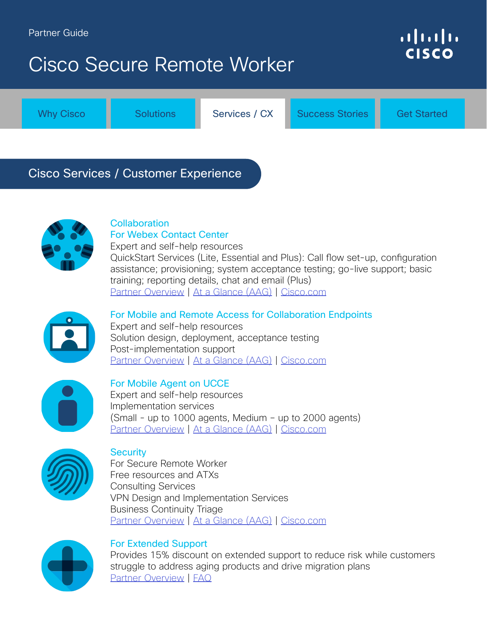# <span id="page-2-0"></span>Cisco Secure Remote Worker

[Why Cisco](#page-0-0) **[Solutions](#page-1-0)** Services / CX [Success Stories](#page-3-0) [Get Started](#page-4-0)

## Cisco Services / Customer Experience



#### **Collaboration** For Webex Contact Center

Expert and self-help resources QuickStart Services (Lite, Essential and Plus): Call flow set-up, configuration assistance; provisioning; system acceptance testing; go-live support; basic training; reporting details, chat and email (Plus) [Partner Overview](https://salesconnect.cisco.com/c/r/salesconnect/index.html#/content-detail/e0576409-9c36-4cc3-ad63-74225ce14970/) | [At a Glance \(AAG\)](https://www.cisco.com/c/dam/m/en_us/customer-experience/collateral/webex-contact-center-offers.pdf) | [Cisco.com](https://www.cisco.com/c/m/en_us/customer-experience/business-continuity-offers/webex-contact-center.html)



#### For Mobile and Remote Access for Collaboration Endpoints Expert and self-help resources

Solution design, deployment, acceptance testing Post-implementation support [Partner Overview](https://salesconnect.cisco.com/open.html?c=e35bcbae-d820-41f2-b560-b12cefd11306) | [At a Glance \(AAG\)](https://www.cisco.com/c/dam/m/en_us/customer-experience/collateral/mra-collaboration-endpoints-aag.pdf) | [Cisco.com](https://www.cisco.com/c/m/en_us/customer-experience/business-continuity-offers/mobile-and-remote-access-for-collaboration-endpoints.html)



#### For Mobile Agent on UCCE

Expert and self-help resources Implementation services  $(Small - up to 1000 agents, Medium - up to 2000 agents)$ [Partner Overview](https://salesconnect.cisco.com/#/content-detail/77bcab35-ef40-4149-9578-665b33ebeccc) | [At a Glance \(AAG\)](https://www.cisco.com/c/dam/m/en_us/customer-experience/collateral/cx-mobile-agent-implementation-aag.pdf) | [Cisco.com](https://www.cisco.com/c/m/en_us/customer-experience/business-continuity-offers/implementing-mobile-agent-ucce.html)



#### **Security**

For Secure Remote Worker Free resources and ATXs Consulting Services VPN Design and Implementation Services Business Continuity Triage [Partner Overview](https://salesconnect.cisco.com/#/content-detail/6bc8bba8-7f6c-4e74-8c27-73fe85c39b7e) | [At a Glance \(AAG\)](https://www.cisco.com/c/dam/m/en_us/customer-experience/collateral/security-services-remote-access-offers-aag.pdf) | [Cisco.com](https://www.cisco.com/c/m/en_us/customer-experience/business-continuity-offers/security-services-for-remote-access.html)



#### For Extended Support

Provides 15% discount on extended support to reduce risk while customers struggle to address aging products and drive migration plans [Partner Overview](https://salesconnect.cisco.com/#/content-detail/1a52df11-64fc-4633-96c7-6c41151b12f0) | [FAQ](https://salesconnect.cisco.com/#/content-detail/769ec365-8943-498c-8c11-8b3da0a90da2)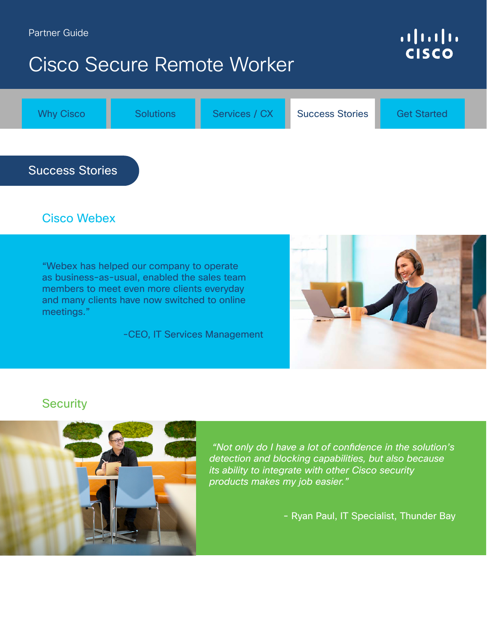#### <span id="page-3-0"></span>Partner Guide

## Cisco Secure Remote Worker

## $\begin{tabular}{c} \bf .} \end{tabular}$ **CISCO**



## Cisco Webex

"Webex has helped our company to operate as business-as-usual, enabled the sales team members to meet even more clients everyday and many clients have now switched to online meetings."

-CEO, IT Services Management



### **Security**



 "Not only do I have a lot of confidence in the solution's detection and blocking capabilities, but also because its ability to integrate with other Cisco security products makes my job easier."

- Ryan Paul, IT Specialist, Thunder Bay